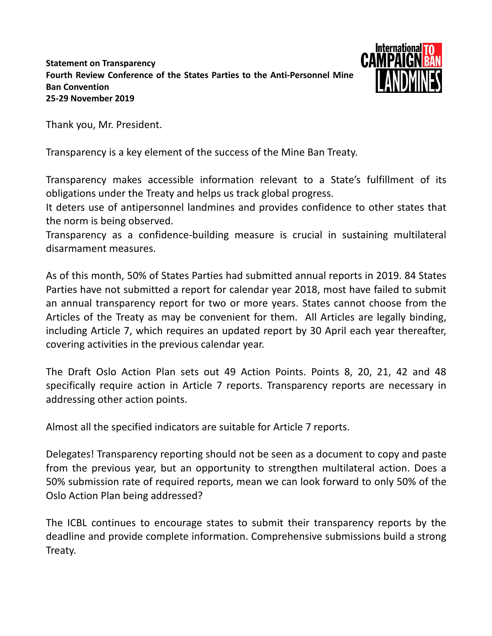

Thank you, Mr. President.

Transparency is a key element of the success of the Mine Ban Treaty.

Transparency makes accessible information relevant to a State's fulfillment of its obligations under the Treaty and helps us track global progress.

It deters use of antipersonnel landmines and provides confidence to other states that the norm is being observed.

Transparency as a confidence-building measure is crucial in sustaining multilateral disarmament measures.

As of this month, 50% of States Parties had submitted annual reports in 2019. 84 States Parties have not submitted a report for calendar year 2018, most have failed to submit an annual transparency report for two or more years. States cannot choose from the Articles of the Treaty as may be convenient for them. All Articles are legally binding, including Article 7, which requires an updated report by 30 April each year thereafter, covering activities in the previous calendar year.

The Draft Oslo Action Plan sets out 49 Action Points. Points 8, 20, 21, 42 and 48 specifically require action in Article 7 reports. Transparency reports are necessary in addressing other action points.

Almost all the specified indicators are suitable for Article 7 reports.

Delegates! Transparency reporting should not be seen as a document to copy and paste from the previous year, but an opportunity to strengthen multilateral action. Does a 50% submission rate of required reports, mean we can look forward to only 50% of the Oslo Action Plan being addressed?

The ICBL continues to encourage states to submit their transparency reports by the deadline and provide complete information. Comprehensive submissions build a strong Treaty.